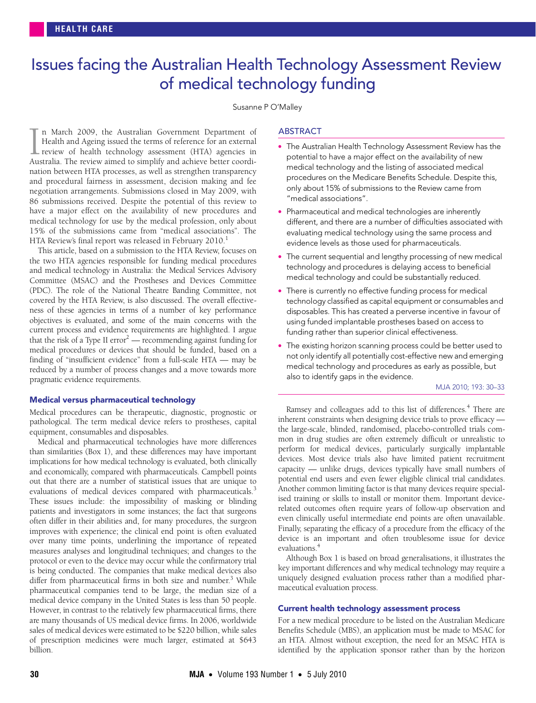# <span id="page-0-0"></span>Issues facing the Australian Health Technology Assessment Review of medical technology funding

# Susanne P O'Malley

86 submissions received. Despite the potential of this review to hav[e a](#page-0-0) major effect on the a[vai](#page-3-4)lability of new procedures and medical technology for use by the medical profession, only about 15% of the submissions came from "medical associations". The HTA Review's final report was released in February 2010.<sup>1</sup> n March 2009, the Australian Government Department of Health and Ageing issued the terms of reference for an external review of health technology assessment (HTA) agencies in In March 2009, the Australian Government Department of Health and Ageing issued the terms of reference for an external review of health technology assessment (HTA) agencies in Australia. The review aimed to simplify and ac nation between HTA processes, as well as strengthen transparency and procedural fairness in assessment, decision making and fee negotiation arrangements. Submissions closed in May 2009, with

This article, based on a submission to the HTA Review, focuses on the two HTA agencies responsible for funding medical procedures and medical technology in Australia: the Medical Services Advisory Committee (MSAC) and the Prostheses and Devices Committee (PDC). The role of the National Theatre Banding Committee, not covered by the HTA Review, is also discussed. The overall effectiveness of these agencies in terms of a number of key performance objectives is evaluated, and some of the main concerns with the current process and evidence requirements are highlighted. I argue that the risk of a Type II error<sup>2</sup> — recommending against funding for medical procedures or devices that should be funded, based on a finding of "insufficient evidence" from a full-scale HTA — may be reduced by a number of process changes and a move towards more pragmatic evidence requirements.

### Medical versus pharmaceutical technology

Medical procedures can be therapeutic, diagnostic, prognostic or pathological. The term medical device refers to prostheses, capital equipment, consumables and disposables.

Medical and pharmaceutical technologies have more differences than similarities ([Box 1\)](#page-1-0), and these differences may have important implications for how medical technology is evaluated, both clinically and economically, compared with pharmaceuticals. Campbell points out that there are a number of statistical issues that are unique to evaluations of medical devices compared with pharmaceuticals.<sup>[3](#page-3-2)</sup> These issues include: the impossibility of masking or blinding patients and investigators in some instances; the fact that surgeons often differ in their abilities and, for many procedures, the surgeon improves with experience; the clinical end point is often evaluated over many time points, underlining the importance of repeated measures analyses and longitudinal techniques; and changes to the protocol or even to the device may occur while the confirmatory trial is being conducted. The companies that make medical devices also differ from pharmaceutical firms in both size and number.<sup>[3](#page-3-2)</sup> While pharmaceutical companies tend to be large, the median size of a medical device company in the United States is less than 50 people. However, in contrast to the relatively few pharmaceutical firms, there are many thousands of US medical device firms. In 2006, worldwide sales of medical devices were estimated to be \$220 billion, while sales of prescription medicines were much larger, estimated at \$643 billion.

### **ABSTRACT**

- The Australian Health Technology Assessment Review has the potential to have a major effect on the availability of new medical technology and the listing of associated medical procedures on the Medicare Benefits Schedule. Despite this, only about 15% of submissions to the Review came from "medical associations".
- Pharmaceutical and medical technologies are inherently different, and there are a number of difficulties associated with evaluating medical technology using the same process and evidence levels as those used for pharmaceuticals.
- The current sequential and lengthy processing of new medical technology and procedures is delaying access to beneficial medical technology and could be substantially reduced.
- There is currently no effective funding process for medical technology classified as capital equipment or consumables and disposables. This has created a perverse incentive in favour of using funded implantable prostheses based on access to funding rather than superior clinical effectiveness.
- The existing horizon scanning process could be better used to not only identify all potentially cost-effective new and emerging medical technology and procedures as early as possible, but also to identify gaps in the evidence.

#### MJA 2010; 193: 30–33

Ramsey and colleagues add to this list of differences.<sup>[4](#page-3-3)</sup> There are inherent constraints when designing device trials to prove efficacy the large-scale, blinded, randomised, placebo-controlled trials common in drug studies are often extremely difficult or unrealistic to perform for medical devices, particularly surgically implantable devices. Most device trials also have limited patient recruitment capacity — unlike drugs, devices typically have small numbers of potential end users and even fewer eligible clinical trial candidates. Another common limiting factor is that many devices require specialised training or skills to install or monitor them. Important devicerelated outcomes often require years of follow-up observation and even clinically useful intermediate end points are often unavailable. Finally, separating the efficacy of a procedure from the efficacy of the device is an important and often troublesome issue for device evaluations.<sup>4</sup>

Although [Box 1](#page-1-0) is based on broad generalisations, it illustrates the key important differences and why medical technology may require a uniquely designed evaluation process rather than a modified pharmaceutical evaluation process.

# Current health technology assessment process

For a new medical procedure to be listed on the Australian Medicare Benefits Schedule (MBS), an application must be made to MSAC for an HTA. Almost without exception, the need for an MSAC HTA is identified by the application sponsor rather than by the horizon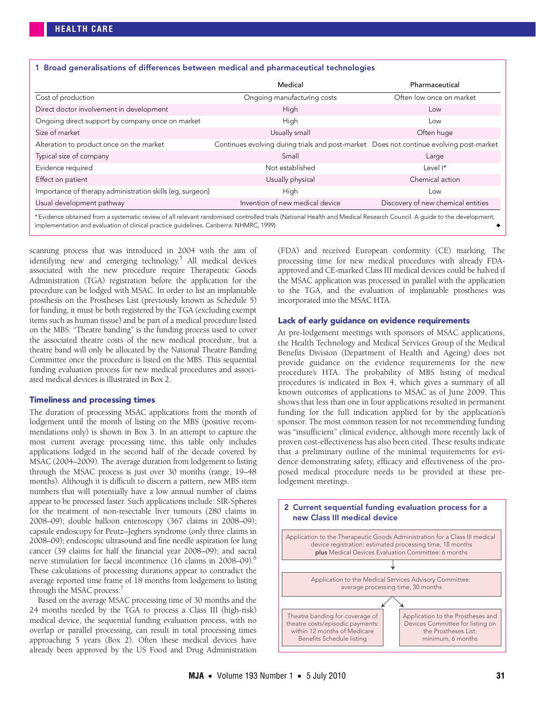<span id="page-1-0"></span>

|                                                           | Medical                                                                                 | Pharmaceutical                     |  |  |
|-----------------------------------------------------------|-----------------------------------------------------------------------------------------|------------------------------------|--|--|
| Cost of production                                        | Ongoing manufacturing costs                                                             | Often low once on market           |  |  |
| Direct doctor involvement in development                  | High                                                                                    | Low                                |  |  |
| Ongoing direct support by company once on market          | High                                                                                    | Low                                |  |  |
| Size of market                                            | Usually small                                                                           | Often huge                         |  |  |
| Alteration to product once on the market                  | Continues evolving during trials and post-market Does not continue evolving post-market |                                    |  |  |
| Typical size of company                                   | Small                                                                                   | Large                              |  |  |
| Evidence required                                         | Not established<br>Level <sup>*</sup>                                                   |                                    |  |  |
| Effect on patient                                         | Usually physical                                                                        | Chemical action                    |  |  |
| Importance of therapy administration skills (eq. surgeon) | High                                                                                    | Low                                |  |  |
| Usual development pathway                                 | Invention of new medical device                                                         | Discovery of new chemical entities |  |  |

scanning process that was introduced in 2004 with the aim of identifying new and emerging technology.<sup>5</sup> All medical devices associated with the new procedure require Therapeutic Goods Administration (TGA) registration before the application for the procedure can be lodged with MSAC. In order to list an implantable prosthesis on the Prostheses List (previously known as Schedule 5) for funding, it must be both registered by the TGA (excluding exempt items such as human tissue) and be part of a medical procedure listed on the MBS. "Theatre banding" is the funding process used to cover the associated theatre costs of the new medical procedure, but a theatre band will only be allocated by the National Theatre Banding Committee once the procedure is listed on the MBS. This sequential funding evaluation process for new medical procedures and associated medical devices is illustrated in [Box 2](#page-1-1).

### Timeliness and processing times

The duration of processing MSAC applications from the month of lodgement until the month of listing on the MBS (positive recommendations only) is shown in [Box 3](#page-2-0). In an attempt to capture the most current average processing time, this table only includes applications lodged in the second half of the decade covered by MSAC (2004–2009). The average duration from lodgement to listing through the MSAC process is just over 30 months (range, 19–48 months). Although it is difficult to discern a pattern, new MBS item numbers that will potentially have a low annual number of claims appear to be processed faster. Such applications include: SIR-Spheres for the treatment of non-resectable liver tumours (280 claims in 2008–09); double balloon enteroscopy (367 claims in 2008–09); capsule endoscopy for Peutz–Jeghers syndrome (only three claims in 2008–09); endoscopic ultrasound and fine needle aspiration for lung cancer (39 claims for half the financial year 2008–09); and sacral nerve stimulation for faecal incontinence (1[6](#page-3-6) claims in 2008–09).<sup>6</sup> These calculations of processing durations appear to contradict the average reported time frame of 18 months from lodgement to listing through the MSAC process.<sup>[7](#page-3-7)</sup>

Based on the average MSAC processing time of 30 months and the 24 months needed by the TGA to process a Class III (high-risk) medical device, the sequential funding evaluation process, with no overlap or parallel processing, can result in total processing times approaching 5 years ([Box 2](#page-1-1)). Often these medical devices have already been approved by the US Food and Drug Administration (FDA) and received European conformity (CE) marking. The processing time for new medical procedures with already FDAapproved and CE-marked Class III medical devices could be halved if the MSAC application was processed in parallel with the application to the TGA, and the evaluation of implantable prostheses was incorporated into the MSAC HTA.

## Lack of early guidance on evidence requirements

At pre-lodgement meetings with sponsors of MSAC applications, the Health Technology and Medical Services Group of the Medical Benefits Division (Department of Health and Ageing) does not provide guidance on the evidence requirements for the new procedure's HTA. The probability of MBS listing of medical procedures is indicated in [Box 4,](#page-2-1) which gives a summary of all known outcomes of applications to MSAC as of June 2009. This shows that less than one in four applications resulted in permanent funding for the full indication applied for by the application's sponsor. The most common reason for not recommending funding was "insufficient" clinical evidence, although more recently lack of proven cost-effectiveness has also been cited. These results indicate that a preliminary outline of the minimal requirements for evidence demonstrating safety, efficacy and effectiveness of the proposed medical procedure needs to be provided at these prelodgement meetings.

<span id="page-1-1"></span>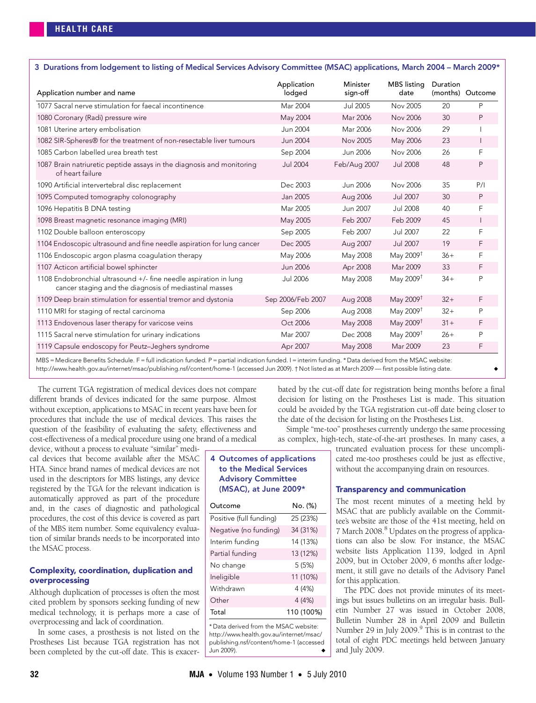<span id="page-2-0"></span>

| Application number and name                                                                                                | Application<br>lodged | Minister<br>sign-off | <b>MBS</b> listina<br>date | Duration | (months) Outcome |
|----------------------------------------------------------------------------------------------------------------------------|-----------------------|----------------------|----------------------------|----------|------------------|
| 1077 Sacral nerve stimulation for faecal incontinence                                                                      | Mar 2004              | <b>Jul 2005</b>      | Nov 2005                   | 20       | P                |
| 1080 Coronary (Radi) pressure wire                                                                                         | May 2004              | Mar 2006             | Nov 2006                   | 30       | P                |
| 1081 Uterine artery embolisation                                                                                           | Jun 2004              | Mar 2006             | Nov 2006                   | 29       |                  |
| 1082 SIR-Spheres® for the treatment of non-resectable liver tumours                                                        | Jun 2004              | Nov 2005             | May 2006                   | 23       |                  |
| 1085 Carbon labelled urea breath test                                                                                      | Sep 2004              | Jun 2006             | Nov 2006                   | 26       | F                |
| 1087 Brain natriuretic peptide assays in the diagnosis and monitoring<br>of heart failure                                  | <b>Jul 2004</b>       | Feb/Aug 2007         | <b>Jul 2008</b>            | 48       | Ρ                |
| 1090 Artificial intervertebral disc replacement                                                                            | Dec 2003              | Jun 2006             | Nov 2006                   | 35       | P/1              |
| 1095 Computed tomography colonography                                                                                      | Jan 2005              | Aug 2006             | Jul 2007                   | 30       | Ρ                |
| 1096 Hepatitis B DNA testing                                                                                               | Mar 2005              | Jun 2007             | Jul 2008                   | 40       | F                |
| 1098 Breast magnetic resonance imaging (MRI)                                                                               | May 2005              | Feb 2007             | Feb 2009                   | 45       | $\overline{1}$   |
| 1102 Double balloon enteroscopy                                                                                            | Sep 2005              | Feb 2007             | Jul 2007                   | 22       | F                |
| 1104 Endoscopic ultrasound and fine needle aspiration for lung cancer                                                      | Dec 2005              | Aug 2007             | Jul 2007                   | 19       | F                |
| 1106 Endoscopic argon plasma coagulation therapy                                                                           | May 2006              | May 2008             | May 2009 <sup>†</sup>      | $36+$    | F                |
| 1107 Acticon artificial bowel sphincter                                                                                    | <b>Jun 2006</b>       | Apr 2008             | Mar 2009                   | 33       | F                |
| 1108 Endobronchial ultrasound +/- fine needle aspiration in lung<br>cancer staging and the diagnosis of mediastinal masses | <b>Jul 2006</b>       | May 2008             | May 2009 <sup>t</sup>      | $34 +$   | P                |
| 1109 Deep brain stimulation for essential tremor and dystonia                                                              | Sep 2006/Feb 2007     | Aug 2008             | May 2009 <sup>t</sup>      | $32+$    | F                |
| 1110 MRI for staging of rectal carcinoma                                                                                   | Sep 2006              | Aug 2008             | May 2009 <sup>t</sup>      | $32+$    | P                |
| 1113 Endovenous laser therapy for varicose veins                                                                           | Oct 2006              | May 2008             | May 2009 <sup>†</sup>      | $31 +$   | F                |
| 1115 Sacral nerve stimulation for urinary indications                                                                      | Mar 2007              | Dec 2008             | May 2009 <sup>†</sup>      | $26+$    | P                |
| 1119 Capsule endoscopy for Peutz-Jeghers syndrome                                                                          | Apr 2007              | May 2008             | Mar 2009                   | 23       | F                |

MBS = Medicare Benefits Schedule. F = full indication funded. P = partial indication funded. I = interim funding. \* Data derived from the MSAC website: http://www.health.gov.au/internet/msac/publishing.nsf/content/home-1 (accessed Jun 2009). † Not listed as at March 2009 — first possible listing date.

The current TGA registration of medical devices does not compare different brands of devices indicated for the same purpose. Almost without exception, applications to MSAC in recent years have been for procedures that include the use of medical devices. This raises the question of the feasibility of evaluating the safety, effectiveness and cost-effectiveness of a medical procedure using one brand of a medical

device, without a process to evaluate "similar" medical devices that become available after the MSAC HTA. Since brand names of medical devices are not used in the descriptors for MBS listings, any device registered by the TGA for the relevant indication is automatically approved as part of the procedure and, in the cases of diagnostic and pathological procedures, the cost of this device is covered as part of the MBS item number. Some equivalency evaluation of similar brands needs to be incorporated into the MSAC process.

# Complexity, coordination, duplication and overprocessing

Although duplication of processes is often the most cited problem by sponsors seeking funding of new medical technology, it is perhaps more a case of overprocessing and lack of coordination.

In some cases, a prosthesis is not listed on the Prostheses List because TGA registration has not been completed by the cut-off date. This is exacerbated by the cut-off date for registration being months before a final decision for listing on the Prostheses List is made. This situation could be avoided by the TGA registration cut-off date being closer to the date of the decision for listing on the Prostheses List.

Simple "me-too" prostheses currently undergo the same processing as complex, high-tech, state-of-the-art prostheses. In many cases, a truncated evaluation process for these uncompli-

# <span id="page-2-1"></span>4 Outcomes of applications to the Medical Services Advisory Committee (MSAC), at June 2009\*

| Outcome                 | No. (%)    |  |  |
|-------------------------|------------|--|--|
| Positive (full funding) | 25 (23%)   |  |  |
| Negative (no funding)   | 34 (31%)   |  |  |
| Interim funding         | 14 (13%)   |  |  |
| Partial funding         | 13 (12%)   |  |  |
| No change               | 5(5%)      |  |  |
| Ineligible              | 11 (10%)   |  |  |
| Withdrawn               | 4 (4%)     |  |  |
| Other                   | 4 (4%)     |  |  |
| Total                   | 110 (100%) |  |  |

\* Data derived from the MSAC website: http://www.health.gov.au/internet/msac/ publishing.nsf/content/home-1 (accessed Jun 2009).

without the accompanying drain on resources.

cated me-too prostheses could be just as effective,

# Transparency and communication

The most recent minutes of a meeting held by MSAC that are publicly available on the Committee's website are those of the 41st meeting, held on 7 March 200[8](#page-3-8).<sup>8</sup> Updates on the progress of applications can also be slow. For instance, the MSAC website lists Application 1139, lodged in April 2009, but in October 2009, 6 months after lodgement, it still gave no details of the Advisory Panel for this application.

The PDC does not provide minutes of its meetings but issues bulletins on an irregular basis. Bulletin Number 27 was issued in October 2008, Bulletin Number 28 in April 2009 and Bulletin Number 29 in July 2009.<sup>9</sup> This is in contrast to the total of eight PDC meetings held between January and July 2009.